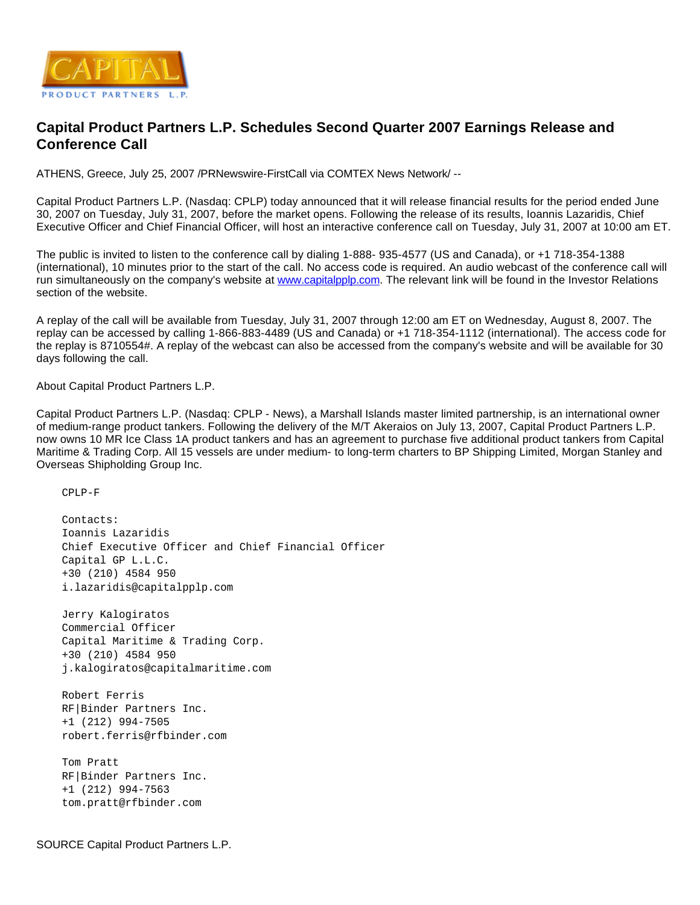

## **Capital Product Partners L.P. Schedules Second Quarter 2007 Earnings Release and Conference Call**

ATHENS, Greece, July 25, 2007 /PRNewswire-FirstCall via COMTEX News Network/ --

Capital Product Partners L.P. (Nasdaq: CPLP) today announced that it will release financial results for the period ended June 30, 2007 on Tuesday, July 31, 2007, before the market opens. Following the release of its results, Ioannis Lazaridis, Chief Executive Officer and Chief Financial Officer, will host an interactive conference call on Tuesday, July 31, 2007 at 10:00 am ET.

The public is invited to listen to the conference call by dialing 1-888- 935-4577 (US and Canada), or +1 718-354-1388 (international), 10 minutes prior to the start of the call. No access code is required. An audio webcast of the conference call will run simultaneously on the company's website at [www.capitalpplp.com](http://www.capitalpplp.com/). The relevant link will be found in the Investor Relations section of the website.

A replay of the call will be available from Tuesday, July 31, 2007 through 12:00 am ET on Wednesday, August 8, 2007. The replay can be accessed by calling 1-866-883-4489 (US and Canada) or +1 718-354-1112 (international). The access code for the replay is 8710554#. A replay of the webcast can also be accessed from the company's website and will be available for 30 days following the call.

About Capital Product Partners L.P.

Capital Product Partners L.P. (Nasdaq: CPLP - News), a Marshall Islands master limited partnership, is an international owner of medium-range product tankers. Following the delivery of the M/T Akeraios on July 13, 2007, Capital Product Partners L.P. now owns 10 MR Ice Class 1A product tankers and has an agreement to purchase five additional product tankers from Capital Maritime & Trading Corp. All 15 vessels are under medium- to long-term charters to BP Shipping Limited, Morgan Stanley and Overseas Shipholding Group Inc.

CPLP-F

 Contacts: Ioannis Lazaridis Chief Executive Officer and Chief Financial Officer Capital GP L.L.C. +30 (210) 4584 950 i.lazaridis@capitalpplp.com Jerry Kalogiratos Commercial Officer Capital Maritime & Trading Corp. +30 (210) 4584 950 j.kalogiratos@capitalmaritime.com Robert Ferris RF|Binder Partners Inc. +1 (212) 994-7505 robert.ferris@rfbinder.com Tom Pratt RF|Binder Partners Inc. +1 (212) 994-7563 tom.pratt@rfbinder.com